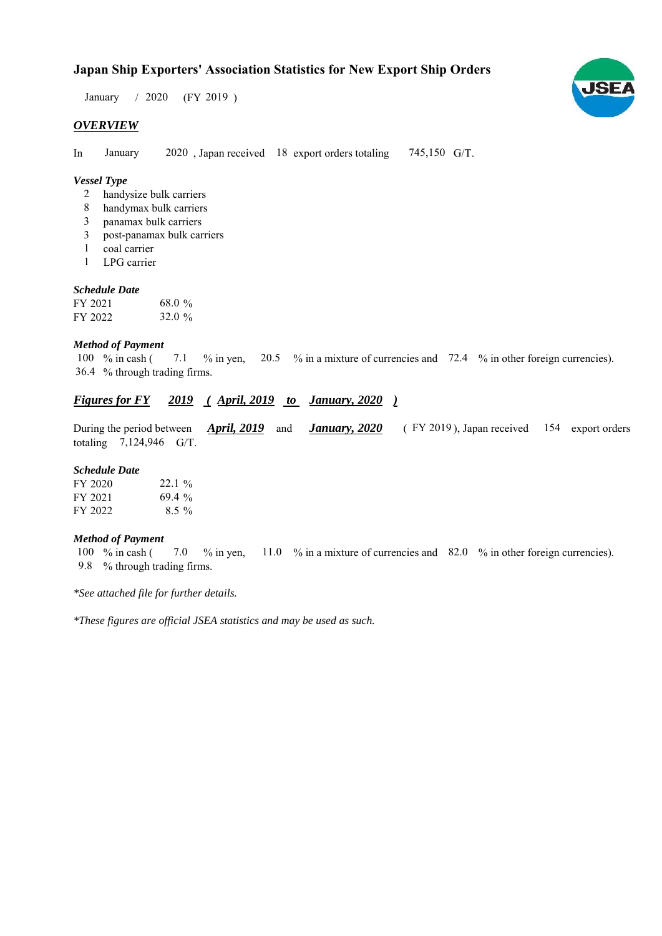## **Japan Ship Exporters' Association Statistics for New Export Ship Orders**

 $/ 2020$  (FY 2019) January / 2020

## *OVERVIEW*

In January 2020, Japan received 18 export orders totaling 745,150 G/T. January

## *Vessel Type*

- handysize bulk carriers 2
- handymax bulk carriers 8
- panamax bulk carriers 3
- post-panamax bulk carriers 3
- coal carrier 1
- LPG carrier 1

## *Schedule Date*

| FY 2021 | 68.0 % |
|---------|--------|
| FY 2022 | 32.0%  |

#### *Method of Payment*

% in cash ( $\frac{7.1}{8}$  % in yen,  $\frac{20.5}{8}$  % in a mixture of currencies and  $\frac{72.4}{8}$  % in other foreign currencies). % through trading firms. 36.4 7.1 100  $%$  in cash (

## *Figures for FY* 2019 (April, 2019 to January, 2020)

During the period between *April, 2019* and *January, 2020* (FY 2019), Japan received 154 export orders totaling  $7,124,946$  G/T. *January, 2020 April, 2019* and

#### *Schedule Date*

| FY 2020 | $22.1\%$ |
|---------|----------|
| FY 2021 | 69.4%    |
| FY 2022 | $8.5\%$  |

#### *Method of Payment*

% in cash ( $\frac{7.0}{8}$  in yen,  $\frac{11.0}{8}$  % in a mixture of currencies and  $\frac{82.0}{8}$  % in other foreign currencies). % through trading firms. 9.8 7.0 100 % in cash (

*\*See attached file for further details.*

*\*These figures are official JSEA statistics and may be used as such.*

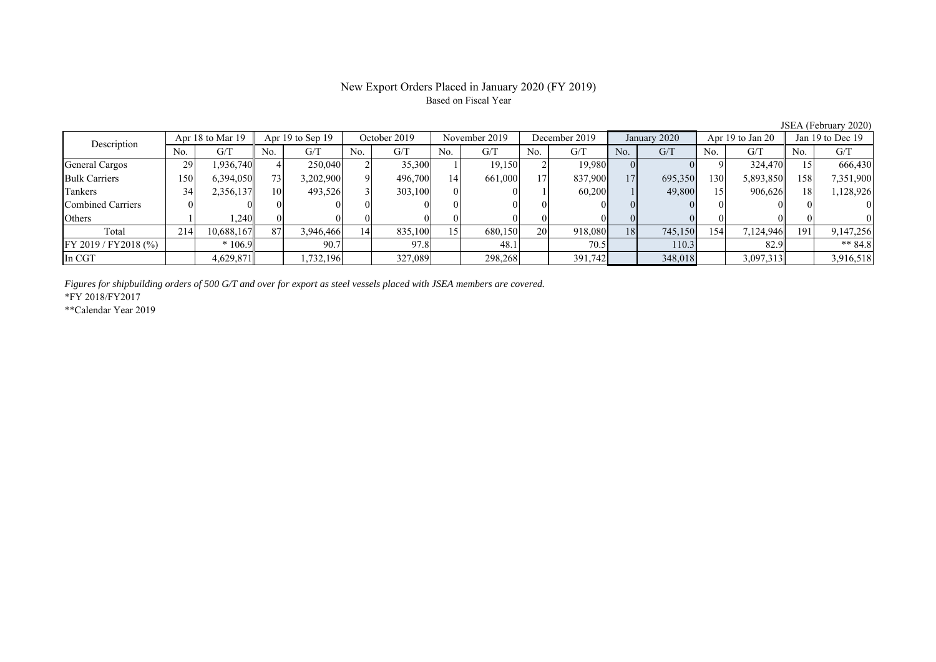## New Export Orders Placed in January 2020 (FY 2019) Based on Fiscal Year

No. G/T No. G/T No. G/T No. G/T No. G/T No. G/T No. G/T No. G/T General Cargos ( 29 1,936,740 | 4 250,040 2 35,300 1 19,150 2 19,980 0 0 9 324,470 15 666,430 Bulk Carriers 150 6,394,050 73 3,202,900 9 496,700 14 661,000 17 837,900 17 695,350 130 5,893,850 158 7,351,900 Tankers | 34| 2,356,137|| 10| 493,526| 3| 303,100| 0| 0| 1| 60,200| 1| 49,800| 15| 906,626|| 18| 1,128,926 Combined Carriers 0 0 0 0 0 0 0 0 0 0 0 0 0 0 0 0 Others | 1 | 1,240|| 0 | 0 | 0 | 0 | 0 | 0 | 0 | 0 | 0 | 0 | 0 | 0 | 0 Total 214 10,688,167 87 3,946,466 14 835,100 15 680,150 20 918,080 18 745,150 154 7,124,946 191 9,147,256 FY 2019 / FY2018 (%) \* 106.9 90.7 97.8 48.1 70.5 110.3 82.9 \*\* 84.8 In CGT | | 4,629,871 | | 1,732,196 | | 327,089 | | 298,268 | | 391,742 | | 348,018 | | 3,917,313 | | 3,916,518 Description Apr 18 to Mar 19 Apr 19 to Sep 19 October 2019 November 2019 December 2019 January 2020 Apr 19 to Jan 20 Jan 19 to Dec 19

*Figures for shipbuilding orders of 500 G/T and over for export as steel vessels placed with JSEA members are covered.*

\*FY 2018/FY2017

\*\*Calendar Year 2019

JSEA (February 2020)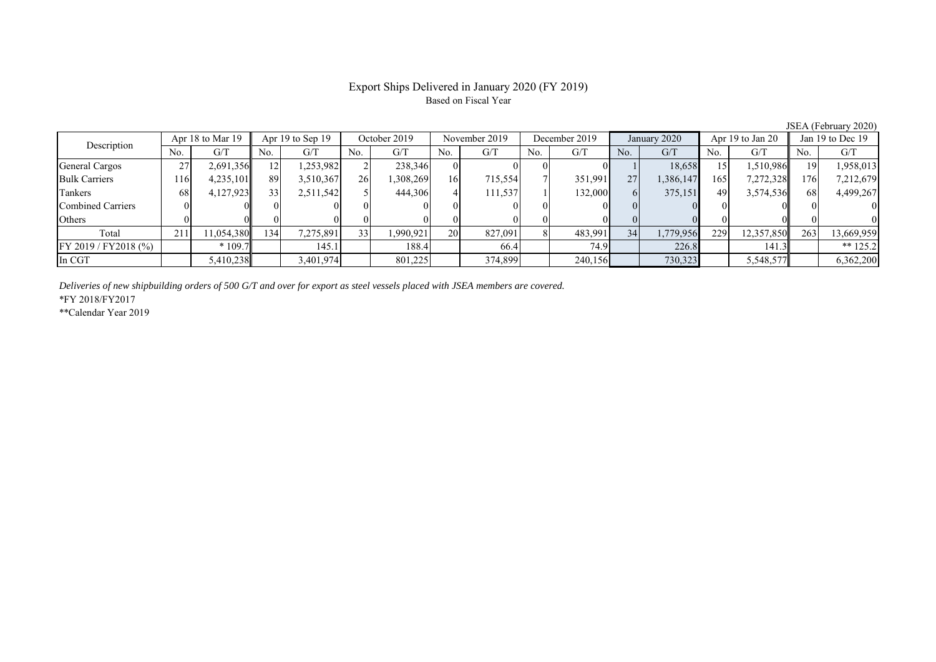## Export Ships Delivered in January 2020 (FY 2019) Based on Fiscal Year

No. G/T No. G/T No. G/T No. G/T No. G/T No. G/T No. G/T No. G/T General Cargos ( 27 2,691,356 12 1,253,982 2 238,346 0 0 0 0 0 1 1 18,658 15 1,510,986 19 1,958,013 Bulk Carriers 116 4,235,101 89 3,510,367 26 1,308,269 16 715,554 7 351,991 27 1,386,147 165 7,272,328 176 7,212,679 Tankers | 68| 4,127,923|| 33| 2,511,542| 5| 444,306| 4| 111,537| 1| 132,000| 6| 375,151| 49| 3,574,536|| 68| 4,499,267 Combined Carriers 0 0 0 0 0 0 0 0 0 0 0 0 0 0 0 0 Others 0 0 0 0 0 0 0 0 0 0 0 0 0 0 0 0 Total 211 11,054,380 134 7,275,891 33 1,990,921 20 827,091 8 483,991 34 1,779,956 229 12,357,850 263 13,669,959 FY 2019 / FY2018 (%) \* 109.7 145.1 188.4 66.4 74.9 226.8 141.3 \*\* 125.2 In CGT | | 5,410,238| | 3,401,974| | 801,225| | 374,899| | 240,156| | 730,323| | 5,548,577|| | 6,362,200 November 2019Description  $\frac{1}{\sqrt{1-\frac{1}{\sqrt{1-\frac{1}{\sqrt{1-\frac{1}{\sqrt{1-\frac{1}{\sqrt{1-\frac{1}{\sqrt{1-\frac{1}{\sqrt{1-\frac{1}{\sqrt{1-\frac{1}{\sqrt{1-\frac{1}{\sqrt{1-\frac{1}{\sqrt{1-\frac{1}{\sqrt{1-\frac{1}{\sqrt{1-\frac{1}{\sqrt{1-\frac{1}{\sqrt{1-\frac{1}{\sqrt{1-\frac{1}{\sqrt{1-\frac{1}{\sqrt{1-\frac{1}{\sqrt{1-\frac{1}{\sqrt{1-\frac{1}{\sqrt{1-\frac{1}{\sqrt{1-\frac{1}{\sqrt{1-\$ Apr 18 to Mar 19 | Apr 19 to Sep 19 | October 2019 | November 2019 | December 2019 | January 2020 | Apr 19 to Jan 20 | Jan 19 to Dec 19

*Deliveries of new shipbuilding orders of 500 G/T and over for export as steel vessels placed with JSEA members are covered.*

\*FY 2018/FY2017

\*\*Calendar Year 2019

JSEA (February 2020)